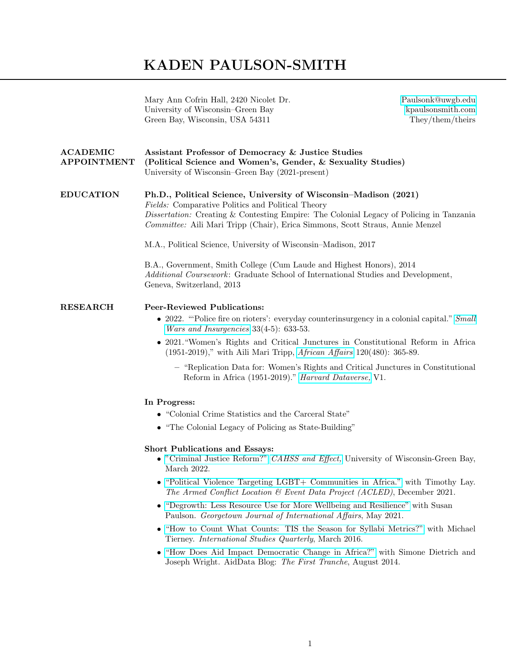## KADEN PAULSON-SMITH

|                                       | Mary Ann Cofrin Hall, 2420 Nicolet Dr.<br>University of Wisconsin–Green Bay<br>Green Bay, Wisconsin, USA 54311                                                                                                                                                                                                                                                             | Paulsonk@uwgb.edu<br>kpaulsonsmith.com<br>They/them/theirs |
|---------------------------------------|----------------------------------------------------------------------------------------------------------------------------------------------------------------------------------------------------------------------------------------------------------------------------------------------------------------------------------------------------------------------------|------------------------------------------------------------|
| <b>ACADEMIC</b><br><b>APPOINTMENT</b> | Assistant Professor of Democracy & Justice Studies<br>(Political Science and Women's, Gender, & Sexuality Studies)<br>University of Wisconsin-Green Bay (2021-present)                                                                                                                                                                                                     |                                                            |
| <b>EDUCATION</b>                      | Ph.D., Political Science, University of Wisconsin-Madison (2021)<br>Fields: Comparative Politics and Political Theory<br><i>Dissertation:</i> Creating & Contesting Empire: The Colonial Legacy of Policing in Tanzania<br>Committee: Aili Mari Tripp (Chair), Erica Simmons, Scott Straus, Annie Menzel<br>M.A., Political Science, University of Wisconsin–Madison, 2017 |                                                            |
|                                       | B.A., Government, Smith College (Cum Laude and Highest Honors), 2014<br>Additional Coursework: Graduate School of International Studies and Development,<br>Geneva, Switzerland, 2013                                                                                                                                                                                      |                                                            |
| <b>RESEARCH</b>                       | <b>Peer-Reviewed Publications:</b><br>• 2022. "Police fire on rioters': everyday counterinsurgency in a colonial capital." Small<br><i>Wars and Insurgencies</i> $33(4-5)$ : 633-53.                                                                                                                                                                                       |                                                            |
|                                       | • 2021. "Women's Rights and Critical Junctures in Constitutional Reform in Africa<br>$(1951-2019)$ ," with Aili Mari Tripp, <i>African Affairs</i> 120(480): 365-89.                                                                                                                                                                                                       |                                                            |
|                                       | - "Replication Data for: Women's Rights and Critical Junctures in Constitutional<br>Reform in Africa (1951-2019)." Harvard Dataverse, V1.                                                                                                                                                                                                                                  |                                                            |
|                                       | In Progress:                                                                                                                                                                                                                                                                                                                                                               |                                                            |
|                                       | • "Colonial Crime Statistics and the Carceral State"                                                                                                                                                                                                                                                                                                                       |                                                            |
|                                       | • "The Colonial Legacy of Policing as State-Building"                                                                                                                                                                                                                                                                                                                      |                                                            |
|                                       | <b>Short Publications and Essays:</b><br>$\bullet$ "Criminal Justice Reform?" CAHSS and Effect, University of Wisconsin-Green Bay,<br>March 2022.                                                                                                                                                                                                                          |                                                            |
|                                       | "Political Violence Targeting LGBT+ Communities in Africa." with Timothy Lay.<br>The Armed Conflict Location & Event Data Project (ACLED), December 2021.                                                                                                                                                                                                                  |                                                            |
|                                       | • "Degrowth: Less Resource Use for More Wellbeing and Resilience" with Susan<br>Paulson. Georgetown Journal of International Affairs, May 2021.                                                                                                                                                                                                                            |                                                            |
|                                       | • "How to Count What Counts: TIS the Season for Syllabi Metrics?" with Michael<br>Tierney. <i>International Studies Quarterly</i> , March 2016.                                                                                                                                                                                                                            |                                                            |

• ["How Does Aid Impact Democratic Change in Africa?"](https://www.aiddata.org/blog/how-does-aid-impact-democratic-change-in-africa) with Simone Dietrich and Joseph Wright. AidData Blog: The First Tranche, August 2014.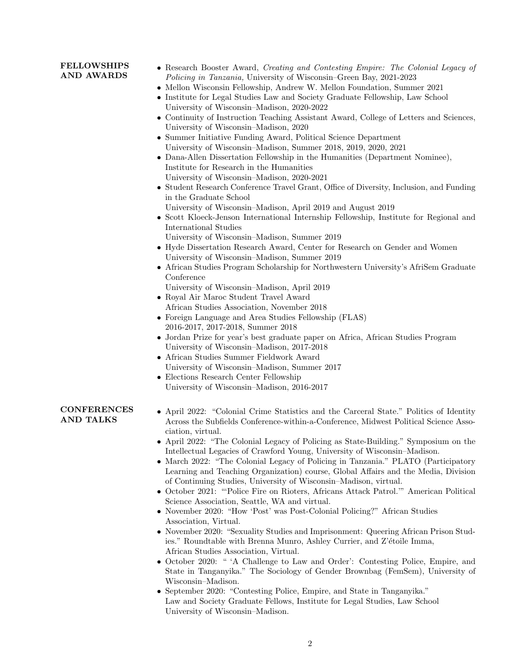## FELLOWSHIPS AND AWARDS

- Research Booster Award, Creating and Contesting Empire: The Colonial Legacy of Policing in Tanzania, University of Wisconsin–Green Bay, 2021-2023
- Mellon Wisconsin Fellowship, Andrew W. Mellon Foundation, Summer 2021
- Institute for Legal Studies Law and Society Graduate Fellowship, Law School University of Wisconsin–Madison, 2020-2022
- Continuity of Instruction Teaching Assistant Award, College of Letters and Sciences, University of Wisconsin–Madison, 2020
- Summer Initiative Funding Award, Political Science Department University of Wisconsin–Madison, Summer 2018, 2019, 2020, 2021
- Dana-Allen Dissertation Fellowship in the Humanities (Department Nominee), Institute for Research in the Humanities University of Wisconsin–Madison, 2020-2021
- Student Research Conference Travel Grant, Office of Diversity, Inclusion, and Funding in the Graduate School
- University of Wisconsin–Madison, April 2019 and August 2019
- Scott Kloeck-Jenson International Internship Fellowship, Institute for Regional and International Studies
	- University of Wisconsin–Madison, Summer 2019
- Hyde Dissertation Research Award, Center for Research on Gender and Women University of Wisconsin–Madison, Summer 2019
- African Studies Program Scholarship for Northwestern University's AfriSem Graduate Conference
	- University of Wisconsin–Madison, April 2019
- Royal Air Maroc Student Travel Award African Studies Association, November 2018
- Foreign Language and Area Studies Fellowship (FLAS) 2016-2017, 2017-2018, Summer 2018
- Jordan Prize for year's best graduate paper on Africa, African Studies Program University of Wisconsin–Madison, 2017-2018
- African Studies Summer Fieldwork Award University of Wisconsin–Madison, Summer 2017
- Elections Research Center Fellowship
- University of Wisconsin–Madison, 2016-2017

## **CONFERENCES** AND TALKS

- April 2022: "Colonial Crime Statistics and the Carceral State." Politics of Identity Across the Subfields Conference-within-a-Conference, Midwest Political Science Association, virtual.
- April 2022: "The Colonial Legacy of Policing as State-Building." Symposium on the Intellectual Legacies of Crawford Young, University of Wisconsin–Madison.
- March 2022: "The Colonial Legacy of Policing in Tanzania." PLATO (Participatory Learning and Teaching Organization) course, Global Affairs and the Media, Division of Continuing Studies, University of Wisconsin–Madison, virtual.
- October 2021: "'Police Fire on Rioters, Africans Attack Patrol.'" American Political Science Association, Seattle, WA and virtual.
- November 2020: "How 'Post' was Post-Colonial Policing?" African Studies Association, Virtual.
- November 2020: "Sexuality Studies and Imprisonment: Queering African Prison Studies." Roundtable with Brenna Munro, Ashley Currier, and Z'étoile Imma, African Studies Association, Virtual.
- October 2020: " 'A Challenge to Law and Order': Contesting Police, Empire, and State in Tanganyika." The Sociology of Gender Brownbag (FemSem), University of Wisconsin–Madison.
- September 2020: "Contesting Police, Empire, and State in Tanganyika." Law and Society Graduate Fellows, Institute for Legal Studies, Law School University of Wisconsin–Madison.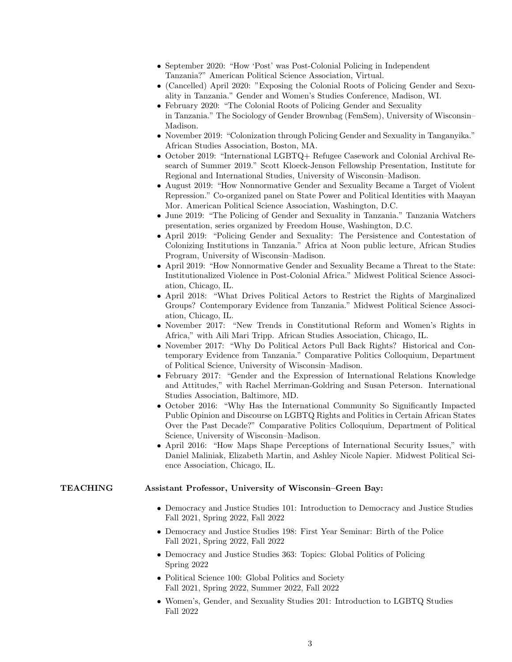- September 2020: "How 'Post' was Post-Colonial Policing in Independent Tanzania?" American Political Science Association, Virtual.
- (Cancelled) April 2020: "Exposing the Colonial Roots of Policing Gender and Sexuality in Tanzania." Gender and Women's Studies Conference, Madison, WI.
- February 2020: "The Colonial Roots of Policing Gender and Sexuality in Tanzania." The Sociology of Gender Brownbag (FemSem), University of Wisconsin–
- Madison.
- November 2019: "Colonization through Policing Gender and Sexuality in Tanganyika." African Studies Association, Boston, MA.
- October 2019: "International LGBTQ+ Refugee Casework and Colonial Archival Research of Summer 2019." Scott Kloeck-Jenson Fellowship Presentation, Institute for Regional and International Studies, University of Wisconsin–Madison.
- August 2019: "How Nonnormative Gender and Sexuality Became a Target of Violent Repression." Co-organized panel on State Power and Political Identities with Maayan Mor. American Political Science Association, Washington, D.C.
- June 2019: "The Policing of Gender and Sexuality in Tanzania." Tanzania Watchers presentation, series organized by Freedom House, Washington, D.C.
- April 2019: "Policing Gender and Sexuality: The Persistence and Contestation of Colonizing Institutions in Tanzania." Africa at Noon public lecture, African Studies Program, University of Wisconsin–Madison.
- April 2019: "How Nonnormative Gender and Sexuality Became a Threat to the State: Institutionalized Violence in Post-Colonial Africa." Midwest Political Science Association, Chicago, IL.
- April 2018: "What Drives Political Actors to Restrict the Rights of Marginalized Groups? Contemporary Evidence from Tanzania." Midwest Political Science Association, Chicago, IL.
- November 2017: "New Trends in Constitutional Reform and Women's Rights in Africa," with Aili Mari Tripp. African Studies Association, Chicago, IL.
- November 2017: "Why Do Political Actors Pull Back Rights? Historical and Contemporary Evidence from Tanzania." Comparative Politics Colloquium, Department of Political Science, University of Wisconsin–Madison.
- February 2017: "Gender and the Expression of International Relations Knowledge and Attitudes," with Rachel Merriman-Goldring and Susan Peterson. International Studies Association, Baltimore, MD.
- October 2016: "Why Has the International Community So Significantly Impacted Public Opinion and Discourse on LGBTQ Rights and Politics in Certain African States Over the Past Decade?" Comparative Politics Colloquium, Department of Political Science, University of Wisconsin–Madison.
- April 2016: "How Maps Shape Perceptions of International Security Issues," with Daniel Maliniak, Elizabeth Martin, and Ashley Nicole Napier. Midwest Political Science Association, Chicago, IL.

## TEACHING Assistant Professor, University of Wisconsin–Green Bay:

- Democracy and Justice Studies 101: Introduction to Democracy and Justice Studies Fall 2021, Spring 2022, Fall 2022
- Democracy and Justice Studies 198: First Year Seminar: Birth of the Police Fall 2021, Spring 2022, Fall 2022
- Democracy and Justice Studies 363: Topics: Global Politics of Policing Spring 2022
- Political Science 100: Global Politics and Society Fall 2021, Spring 2022, Summer 2022, Fall 2022
- Women's, Gender, and Sexuality Studies 201: Introduction to LGBTQ Studies Fall 2022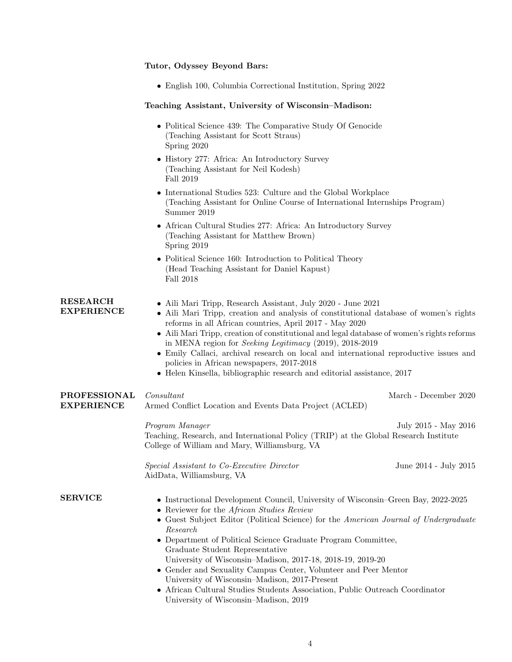|                                          | Tutor, Odyssey Beyond Bars:                                                                                                                                                                                                                                                                                                                                                                                                                                                                                                                                                                                                                       |                       |
|------------------------------------------|---------------------------------------------------------------------------------------------------------------------------------------------------------------------------------------------------------------------------------------------------------------------------------------------------------------------------------------------------------------------------------------------------------------------------------------------------------------------------------------------------------------------------------------------------------------------------------------------------------------------------------------------------|-----------------------|
|                                          | • English 100, Columbia Correctional Institution, Spring 2022                                                                                                                                                                                                                                                                                                                                                                                                                                                                                                                                                                                     |                       |
|                                          | Teaching Assistant, University of Wisconsin-Madison:                                                                                                                                                                                                                                                                                                                                                                                                                                                                                                                                                                                              |                       |
|                                          | • Political Science 439: The Comparative Study Of Genocide<br>(Teaching Assistant for Scott Straus)<br>Spring 2020                                                                                                                                                                                                                                                                                                                                                                                                                                                                                                                                |                       |
|                                          | • History 277: Africa: An Introductory Survey<br>(Teaching Assistant for Neil Kodesh)<br>Fall 2019                                                                                                                                                                                                                                                                                                                                                                                                                                                                                                                                                |                       |
|                                          | • International Studies 523: Culture and the Global Workplace<br>(Teaching Assistant for Online Course of International Internships Program)<br>Summer 2019                                                                                                                                                                                                                                                                                                                                                                                                                                                                                       |                       |
|                                          | • African Cultural Studies 277: Africa: An Introductory Survey<br>(Teaching Assistant for Matthew Brown)<br>Spring 2019                                                                                                                                                                                                                                                                                                                                                                                                                                                                                                                           |                       |
|                                          | • Political Science 160: Introduction to Political Theory<br>(Head Teaching Assistant for Daniel Kapust)<br>Fall 2018                                                                                                                                                                                                                                                                                                                                                                                                                                                                                                                             |                       |
| <b>RESEARCH</b><br><b>EXPERIENCE</b>     | • Aili Mari Tripp, Research Assistant, July 2020 - June 2021<br>• Aili Mari Tripp, creation and analysis of constitutional database of women's rights<br>reforms in all African countries, April 2017 - May 2020<br>• Aili Mari Tripp, creation of constitutional and legal database of women's rights reforms<br>in MENA region for <i>Seeking Legitimacy</i> $(2019)$ , 2018-2019<br>• Emily Callaci, archival research on local and international reproductive issues and<br>policies in African newspapers, 2017-2018<br>$\bullet$ Helen Kinsella, bibliographic research and editorial assistance, 2017                                      |                       |
| <b>PROFESSIONAL</b><br><b>EXPERIENCE</b> | Consultant<br>Armed Conflict Location and Events Data Project (ACLED)                                                                                                                                                                                                                                                                                                                                                                                                                                                                                                                                                                             | March - December 2020 |
|                                          | Program Manager<br>Teaching, Research, and International Policy (TRIP) at the Global Research Institute<br>College of William and Mary, Williamsburg, VA                                                                                                                                                                                                                                                                                                                                                                                                                                                                                          | July 2015 - May 2016  |
|                                          | Special Assistant to Co-Executive Director<br>AidData, Williamsburg, VA                                                                                                                                                                                                                                                                                                                                                                                                                                                                                                                                                                           | June 2014 - July 2015 |
| <b>SERVICE</b>                           | • Instructional Development Council, University of Wisconsin–Green Bay, 2022-2025<br>• Reviewer for the African Studies Review<br>• Guest Subject Editor (Political Science) for the American Journal of Undergraduate<br>Research<br>• Department of Political Science Graduate Program Committee,<br>Graduate Student Representative<br>University of Wisconsin-Madison, 2017-18, 2018-19, 2019-20<br>• Gender and Sexuality Campus Center, Volunteer and Peer Mentor<br>University of Wisconsin-Madison, 2017-Present<br>• African Cultural Studies Students Association, Public Outreach Coordinator<br>University of Wisconsin-Madison, 2019 |                       |